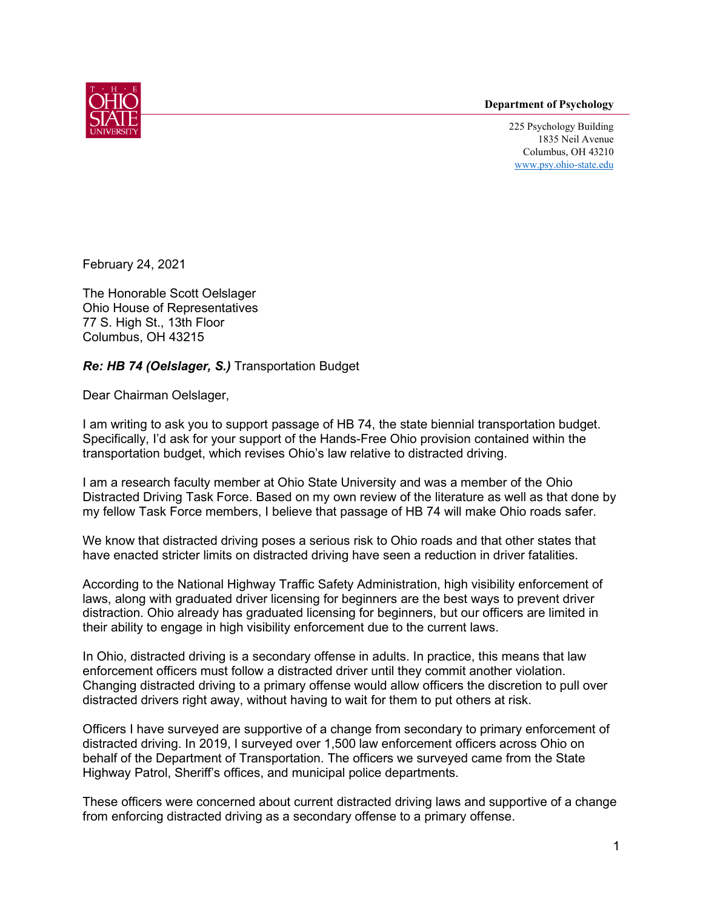## **Department of Psychology**



225 Psychology Building 1835 Neil Avenue Columbus, OH 43210 [www.psy.ohio-state.edu](http://www.psy.ohio-state.edu/)

February 24, 2021

The Honorable Scott Oelslager Ohio House of Representatives 77 S. High St., 13th Floor Columbus, OH 43215

## *Re: HB 74 (Oelslager, S.)* Transportation Budget

Dear Chairman Oelslager,

I am writing to ask you to support passage of HB 74, the state biennial transportation budget. Specifically, I'd ask for your support of the Hands-Free Ohio provision contained within the transportation budget, which revises Ohio's law relative to distracted driving.

I am a research faculty member at Ohio State University and was a member of the Ohio Distracted Driving Task Force. Based on my own review of the literature as well as that done by my fellow Task Force members, I believe that passage of HB 74 will make Ohio roads safer.

We know that distracted driving poses a serious risk to Ohio roads and that other states that have enacted stricter limits on distracted driving have seen a reduction in driver fatalities.

According to the National Highway Traffic Safety Administration, high visibility enforcement of laws, along with graduated driver licensing for beginners are the best ways to prevent driver distraction. Ohio already has graduated licensing for beginners, but our officers are limited in their ability to engage in high visibility enforcement due to the current laws.

In Ohio, distracted driving is a secondary offense in adults. In practice, this means that law enforcement officers must follow a distracted driver until they commit another violation. Changing distracted driving to a primary offense would allow officers the discretion to pull over distracted drivers right away, without having to wait for them to put others at risk.

Officers I have surveyed are supportive of a change from secondary to primary enforcement of distracted driving. In 2019, I surveyed over 1,500 law enforcement officers across Ohio on behalf of the Department of Transportation. The officers we surveyed came from the State Highway Patrol, Sheriff's offices, and municipal police departments.

These officers were concerned about current distracted driving laws and supportive of a change from enforcing distracted driving as a secondary offense to a primary offense.